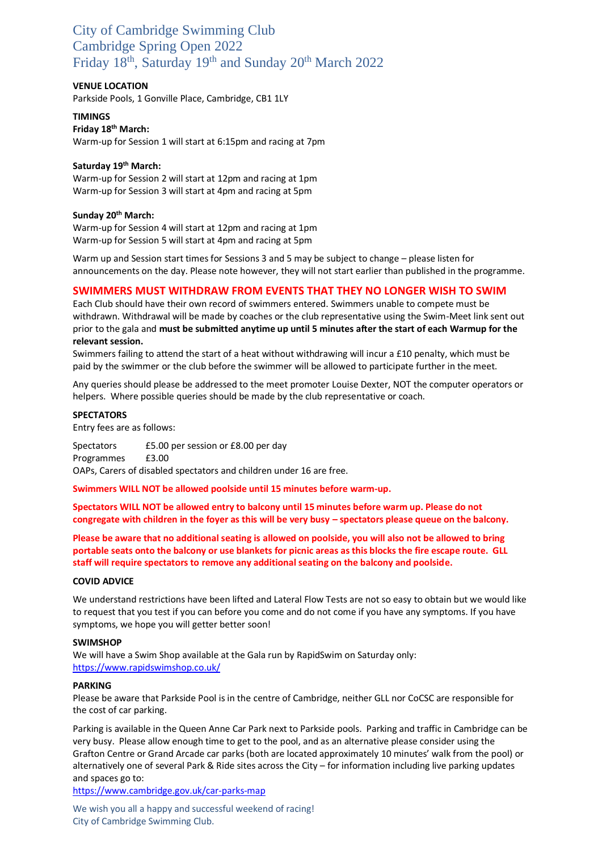### City of Cambridge Swimming Club Cambridge Spring Open 2022 Friday 18<sup>th</sup>, Saturday 19<sup>th</sup> and Sunday 20<sup>th</sup> March 2022

### **VENUE LOCATION**

Parkside Pools, 1 Gonville Place, Cambridge, CB1 1LY

### **TIMINGS**

**Friday 18th March:** Warm-up for Session 1 will start at 6:15pm and racing at 7pm

### **Saturday 19th March:**

Warm-up for Session 2 will start at 12pm and racing at 1pm Warm-up for Session 3 will start at 4pm and racing at 5pm

#### **Sunday 20th March:**

Warm-up for Session 4 will start at 12pm and racing at 1pm Warm-up for Session 5 will start at 4pm and racing at 5pm

Warm up and Session start times for Sessions 3 and 5 may be subject to change – please listen for announcements on the day. Please note however, they will not start earlier than published in the programme.

### **SWIMMERS MUST WITHDRAW FROM EVENTS THAT THEY NO LONGER WISH TO SWIM**

Each Club should have their own record of swimmers entered. Swimmers unable to compete must be withdrawn. Withdrawal will be made by coaches or the club representative using the Swim-Meet link sent out prior to the gala and **must be submitted anytime up until 5 minutes after the start of each Warmup for the relevant session.** 

Swimmers failing to attend the start of a heat without withdrawing will incur a £10 penalty, which must be paid by the swimmer or the club before the swimmer will be allowed to participate further in the meet.

Any queries should please be addressed to the meet promoter Louise Dexter, NOT the computer operators or helpers. Where possible queries should be made by the club representative or coach.

#### **SPECTATORS**

Entry fees are as follows:

Spectators £5.00 per session or £8.00 per day Programmes £3.00 OAPs, Carers of disabled spectators and children under 16 are free.

**Swimmers WILL NOT be allowed poolside until 15 minutes before warm-up.**

**Spectators WILL NOT be allowed entry to balcony until 15 minutes before warm up. Please do not congregate with children in the foyer as this will be very busy – spectators please queue on the balcony.**

**Please be aware that no additional seating is allowed on poolside, you will also not be allowed to bring portable seats onto the balcony or use blankets for picnic areas as this blocks the fire escape route. GLL staff will require spectators to remove any additional seating on the balcony and poolside.**

#### **COVID ADVICE**

We understand restrictions have been lifted and Lateral Flow Tests are not so easy to obtain but we would like to request that you test if you can before you come and do not come if you have any symptoms. If you have symptoms, we hope you will getter better soon!

#### **SWIMSHOP**

We will have a Swim Shop available at the Gala run by RapidSwim on Saturday only: <https://www.rapidswimshop.co.uk/>

#### **PARKING**

Please be aware that Parkside Pool is in the centre of Cambridge, neither GLL nor CoCSC are responsible for the cost of car parking.

Parking is available in the Queen Anne Car Park next to Parkside pools. Parking and traffic in Cambridge can be very busy. Please allow enough time to get to the pool, and as an alternative please consider using the Grafton Centre or Grand Arcade car parks (both are located approximately 10 minutes' walk from the pool) or alternatively one of several Park & Ride sites across the City – for information including live parking updates and spaces go to:

<https://www.cambridge.gov.uk/car-parks-map>

We wish you all a happy and successful weekend of racing! City of Cambridge Swimming Club.